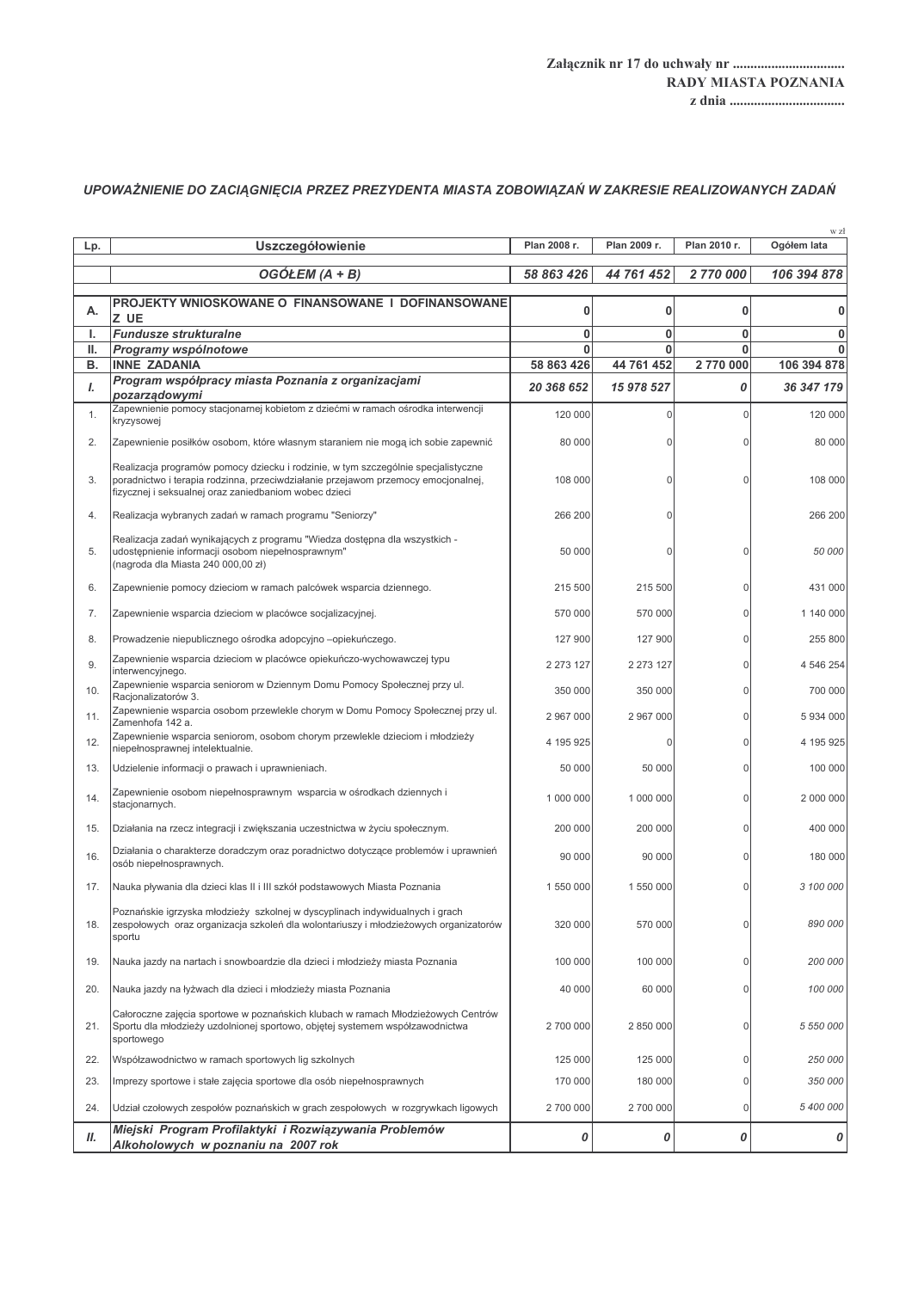## UPOWAŻNIENIE DO ZACIĄGNIĘCIA PRZEZ PREZYDENTA MIASTA ZOBOWIĄZAŃ W ZAKRESIE REALIZOWANYCH ZADAŃ

| Lp.      | Uszczegółowienie                                                                                                                                                                                                                | Plan 2008 r.    | Plan 2009 r.           | Plan 2010 r.            | w zł<br>Ogółem lata         |
|----------|---------------------------------------------------------------------------------------------------------------------------------------------------------------------------------------------------------------------------------|-----------------|------------------------|-------------------------|-----------------------------|
|          | OGÓŁEM (A + B)                                                                                                                                                                                                                  | 58 863 426      | 44 761 452             | 2 770 000               | 106 394 878                 |
|          |                                                                                                                                                                                                                                 |                 |                        |                         |                             |
| А.       | PROJEKTY WNIOSKOWANE O FINANSOWANE I DOFINANSOWANE<br>Z UE                                                                                                                                                                      | 0               | 0                      | 0                       | n                           |
| ı.       | <b>Fundusze strukturalne</b>                                                                                                                                                                                                    | 0               | 0                      | $\bf{0}$                | 0                           |
| Ш.<br>в. | Programy wspólnotowe<br><b>INNE ZADANIA</b>                                                                                                                                                                                     | 0<br>58 863 426 | $\bf{0}$<br>44 761 452 | $\mathbf{0}$<br>2770000 | $\mathbf{0}$<br>106 394 878 |
| L        | Program współpracy miasta Poznania z organizacjami                                                                                                                                                                              | 20 368 652      | 15 978 527             | 0                       | 36 347 179                  |
|          | pozarzadowymi<br>Zapewnienie pomocy stacjonarnej kobietom z dziećmi w ramach ośrodka interwencji                                                                                                                                |                 |                        |                         |                             |
| 1.       | kryzysowej                                                                                                                                                                                                                      | 120 000         | $\Omega$               | $\Omega$                | 120 000                     |
| 2.       | Zapewnienie posiłków osobom, które własnym staraniem nie mogą ich sobie zapewnić                                                                                                                                                | 80 000          | U                      | $\Omega$                | 80 000                      |
| 3.       | Realizacja programów pomocy dziecku i rodzinie, w tym szczególnie specjalistyczne<br>poradnictwo i terapia rodzinna, przeciwdziałanie przejawom przemocy emocjonalnej,<br>fizycznej i seksualnej oraz zaniedbaniom wobec dzieci | 108 000         | $\Omega$               | U                       | 108 000                     |
| 4.       | Realizacja wybranych zadań w ramach programu "Seniorzy"                                                                                                                                                                         | 266 200         | 0                      |                         | 266 200                     |
| 5.       | Realizacja zadań wynikających z programu "Wiedza dostępna dla wszystkich -<br>udostępnienie informacji osobom niepełnosprawnym"<br>(nagroda dla Miasta 240 000,00 zł)                                                           | 50 000          | 0                      | $\Omega$                | 50 000                      |
| 6.       | Zapewnienie pomocy dzieciom w ramach palcówek wsparcia dziennego.                                                                                                                                                               | 215 500         | 215 500                | $\Omega$                | 431 000                     |
| 7.       | Zapewnienie wsparcia dzieciom w placówce socjalizacyjnej.                                                                                                                                                                       | 570 000         | 570 000                | $\Omega$                | 1 140 000                   |
| 8.       | Prowadzenie niepublicznego ośrodka adopcyjno -opiekuńczego.                                                                                                                                                                     | 127 900         | 127 900                | $\Omega$                | 255 800                     |
| 9.       | Zapewnienie wsparcia dzieciom w placówce opiekuńczo-wychowawczej typu<br>interwencyjnego.                                                                                                                                       | 2 273 127       | 2 273 127              | U                       | 4 546 254                   |
| 10.      | Zapewnienie wsparcia seniorom w Dziennym Domu Pomocy Społecznej przy ul.<br>Racjonalizatorów 3.                                                                                                                                 | 350 000         | 350 000                | $\Omega$                | 700 000                     |
| 11.      | Zapewnienie wsparcia osobom przewlekle chorym w Domu Pomocy Społecznej przy ul.<br>Zamenhofa 142 a.                                                                                                                             | 2 967 000       | 2 967 000              | $\Omega$                | 5 934 000                   |
| 12.      | Zapewnienie wsparcia seniorom, osobom chorym przewlekle dzieciom i młodzieży<br>niepełnosprawnej intelektualnie.                                                                                                                | 4 195 925       | $\mathbf 0$            | $\Omega$                | 4 195 925                   |
| 13.      | Udzielenie informacji o prawach i uprawnieniach.                                                                                                                                                                                | 50 000          | 50 000                 | $\Omega$                | 100 000                     |
| 14.      | Zapewnienie osobom niepełnosprawnym wsparcia w ośrodkach dziennych i<br>stacjonarnych.                                                                                                                                          | 1 000 000       | 1 000 000              | $\Omega$                | 2 000 000                   |
| 15.      | Działania na rzecz integracji i zwiększania uczestnictwa w życiu społecznym.                                                                                                                                                    | 200 000         | 200 000                | U                       | 400 000                     |
| 16.      | Działania o charakterze doradczym oraz poradnictwo dotyczące problemów i uprawnień<br>osób niepełnosprawnych.                                                                                                                   | 90 000          | 90 000                 | $\Omega$                | 180 000                     |
| 17.      | Nauka pływania dla dzieci klas II i III szkół podstawowych Miasta Poznania                                                                                                                                                      | 1 550 000       | 1 550 000              |                         | 3 100 000                   |
| 18.      | Poznańskie igrzyska młodzieży szkolnej w dyscyplinach indywidualnych i grach<br>zespołowych oraz organizacja szkoleń dla wolontariuszy i młodzieżowych organizatorów<br>sportu                                                  | 320 000         | 570 000                | 0                       | 890 000                     |
| 19.      | Nauka jazdy na nartach i snowboardzie dla dzieci i młodzieży miasta Poznania                                                                                                                                                    | 100 000         | 100 000                | $\Omega$                | 200 000                     |
| 20.      | Nauka jazdy na łyżwach dla dzieci i młodzieży miasta Poznania                                                                                                                                                                   | 40 000          | 60 000                 | 0                       | 100 000                     |
| 21.      | Całoroczne zajęcia sportowe w poznańskich klubach w ramach Młodzieżowych Centrów<br>Sportu dla młodzieży uzdolnionej sportowo, objętej systemem współzawodnictwa<br>sportowego                                                  | 2 700 000       | 2 850 000              | 0                       | 5 550 000                   |
| 22.      | Współzawodnictwo w ramach sportowych lig szkolnych                                                                                                                                                                              | 125 000         | 125 000                | $\Omega$                | 250 000                     |
| 23.      | Imprezy sportowe i stałe zajęcia sportowe dla osób niepełnosprawnych                                                                                                                                                            | 170 000         | 180 000                | 0                       | 350 000                     |
| 24.      | Udział czołowych zespołów poznańskich w grach zespołowych w rozgrywkach ligowych                                                                                                                                                | 2 700 000       | 2 700 000              | 0                       | 5 400 000                   |
| П.       | Miejski Program Profilaktyki i Rozwiązywania Problemów<br>Alkoholowych w poznaniu na 2007 rok                                                                                                                                   | 0               | 0                      | 0                       | 0                           |